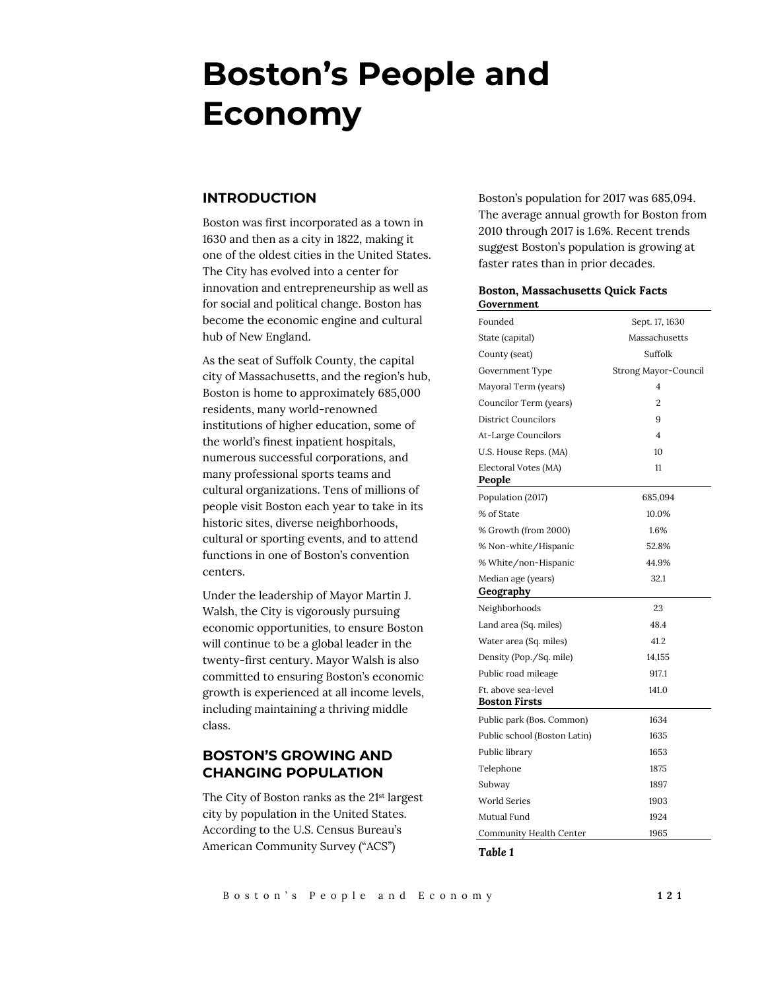# **Boston's People and Economy**

#### **INTRODUCTION**

Boston was first incorporated as a town in 1630 and then as a city in 1822, making it one of the oldest cities in the United States. The City has evolved into a center for innovation and entrepreneurship as well as for social and political change. Boston has become the economic engine and cultural hub of New England.

As the seat of Suffolk County, the capital city of Massachusetts, and the region's hub, Boston is home to approximately 685,000 residents, many world-renowned institutions of higher education, some of the world's finest inpatient hospitals, numerous successful corporations, and many professional sports teams and cultural organizations. Tens of millions of people visit Boston each year to take in its historic sites, diverse neighborhoods, cultural or sporting events, and to attend functions in one of Boston's convention centers.

Under the leadership of Mayor Martin J. Walsh, the City is vigorously pursuing economic opportunities, to ensure Boston will continue to be a global leader in the twenty-first century. Mayor Walsh is also committed to ensuring Boston's economic growth is experienced at all income levels, including maintaining a thriving middle class.

# **BOSTON'S GROWING AND CHANGING POPULATION**

The City of Boston ranks as the 21<sup>st</sup> largest city by population in the United States. According to the U.S. Census Bureau's American Community Survey ("ACS")

Boston's population for 2017 was 685,094. The average annual growth for Boston from 2010 through 2017 is 1.6%. Recent trends suggest Boston's population is growing at faster rates than in prior decades.

#### **Boston, Massachusetts Quick Facts Government**

| Founded                      | Sept. 17, 1630       |  |  |
|------------------------------|----------------------|--|--|
| State (capital)              | Massachusetts        |  |  |
| County (seat)                | Suffolk              |  |  |
| Government Type              | Strong Mayor-Council |  |  |
| Mayoral Term (years)         | $\overline{4}$       |  |  |
| Councilor Term (years)       | $\overline{2}$       |  |  |
| <b>District Councilors</b>   | 9                    |  |  |
| At-Large Councilors          | 4                    |  |  |
| U.S. House Reps. (MA)        | 10                   |  |  |
| Electoral Votes (MA)         | 11                   |  |  |
| People                       |                      |  |  |
| Population (2017)            | 685,094              |  |  |
| % of State                   | 10.0%                |  |  |
| % Growth (from 2000)         | 1.6%                 |  |  |
| % Non-white/Hispanic         | 52.8%                |  |  |
| % White/non-Hispanic         | 44.9%                |  |  |
| Median age (years)           | 32.1                 |  |  |
| Geography                    |                      |  |  |
| Neighborhoods                | 23                   |  |  |
| Land area (Sq. miles)        | 48.4                 |  |  |
| Water area (Sq. miles)       | 41.2                 |  |  |
| Density (Pop./Sq. mile)      | 14,155               |  |  |
| Public road mileage          | 917.1                |  |  |
| Ft. above sea-level          | 141.0                |  |  |
| <b>Boston Firsts</b>         |                      |  |  |
| Public park (Bos. Common)    | 1634                 |  |  |
| Public school (Boston Latin) | 1635                 |  |  |
| Public library               | 1653                 |  |  |
| Telephone                    | 1875                 |  |  |
| Subway                       | 1897                 |  |  |
| <b>World Series</b>          | 1903                 |  |  |
| Mutual Fund                  | 1924                 |  |  |
| Community Health Center      | 1965                 |  |  |

*Table 1*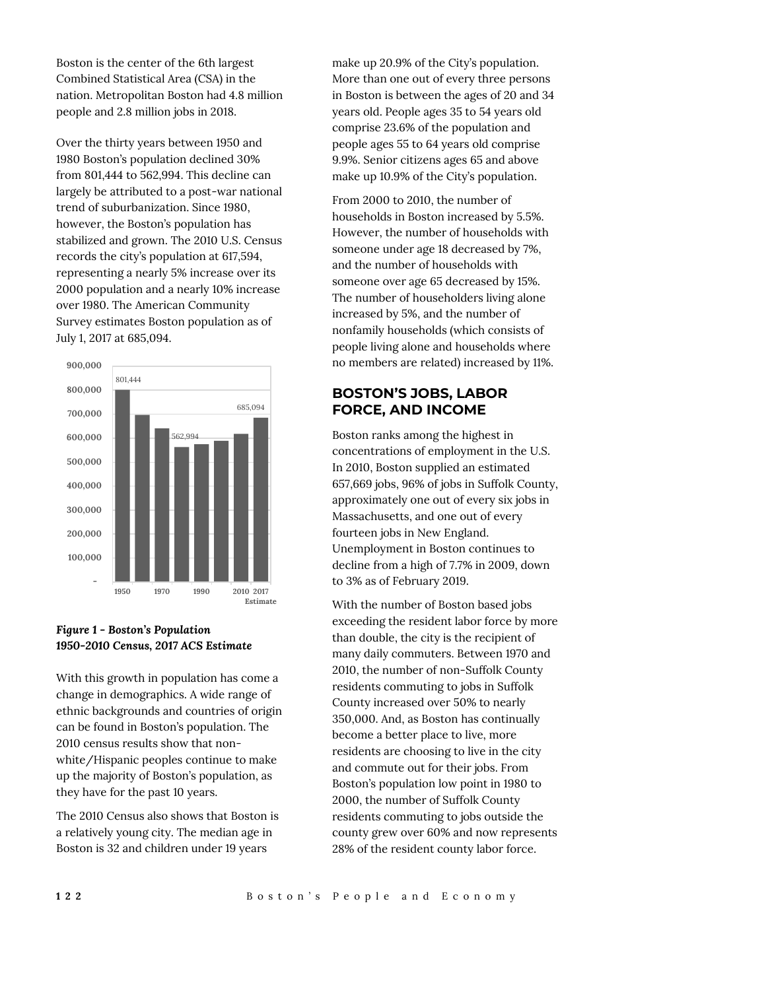Boston is the center of the 6th largest Combined Statistical Area (CSA) in the nation. Metropolitan Boston had 4.8 million people and 2.8 million jobs in 2018.

Over the thirty years between 1950 and 1980 Boston's population declined 30% from 801,444 to 562,994. This decline can largely be attributed to a post-war national trend of suburbanization. Since 1980, however, the Boston's population has stabilized and grown. The 2010 U.S. Census records the city's population at 617,594, representing a nearly 5% increase over its 2000 population and a nearly 10% increase over 1980. The American Community Survey estimates Boston population as of July 1, 2017 at 685,094.



## *Figure 1 - Boston's Population 1950-2010 Census, 2017 ACS Estimate*

With this growth in population has come a change in demographics. A wide range of ethnic backgrounds and countries of origin can be found in Boston's population. The 2010 census results show that nonwhite/Hispanic peoples continue to make up the majority of Boston's population, as they have for the past 10 years.

The 2010 Census also shows that Boston is a relatively young city. The median age in Boston is 32 and children under 19 years

make up 20.9% of the City's population. More than one out of every three persons in Boston is between the ages of 20 and 34 years old. People ages 35 to 54 years old comprise 23.6% of the population and people ages 55 to 64 years old comprise 9.9%. Senior citizens ages 65 and above make up 10.9% of the City's population.

From 2000 to 2010, the number of households in Boston increased by 5.5%. However, the number of households with someone under age 18 decreased by 7%, and the number of households with someone over age 65 decreased by 15%. The number of householders living alone increased by 5%, and the number of nonfamily households (which consists of people living alone and households where no members are related) increased by 11%.

# **BOSTON'S JOBS, LABOR FORCE, AND INCOME**

Boston ranks among the highest in concentrations of employment in the U.S. In 2010, Boston supplied an estimated 657,669 jobs, 96% of jobs in Suffolk County, approximately one out of every six jobs in Massachusetts, and one out of every fourteen jobs in New England. Unemployment in Boston continues to decline from a high of 7.7% in 2009, down to 3% as of February 2019.

With the number of Boston based jobs exceeding the resident labor force by more than double, the city is the recipient of many daily commuters. Between 1970 and 2010, the number of non-Suffolk County residents commuting to jobs in Suffolk County increased over 50% to nearly 350,000. And, as Boston has continually become a better place to live, more residents are choosing to live in the city and commute out for their jobs. From Boston's population low point in 1980 to 2000, the number of Suffolk County residents commuting to jobs outside the county grew over 60% and now represents 28% of the resident county labor force.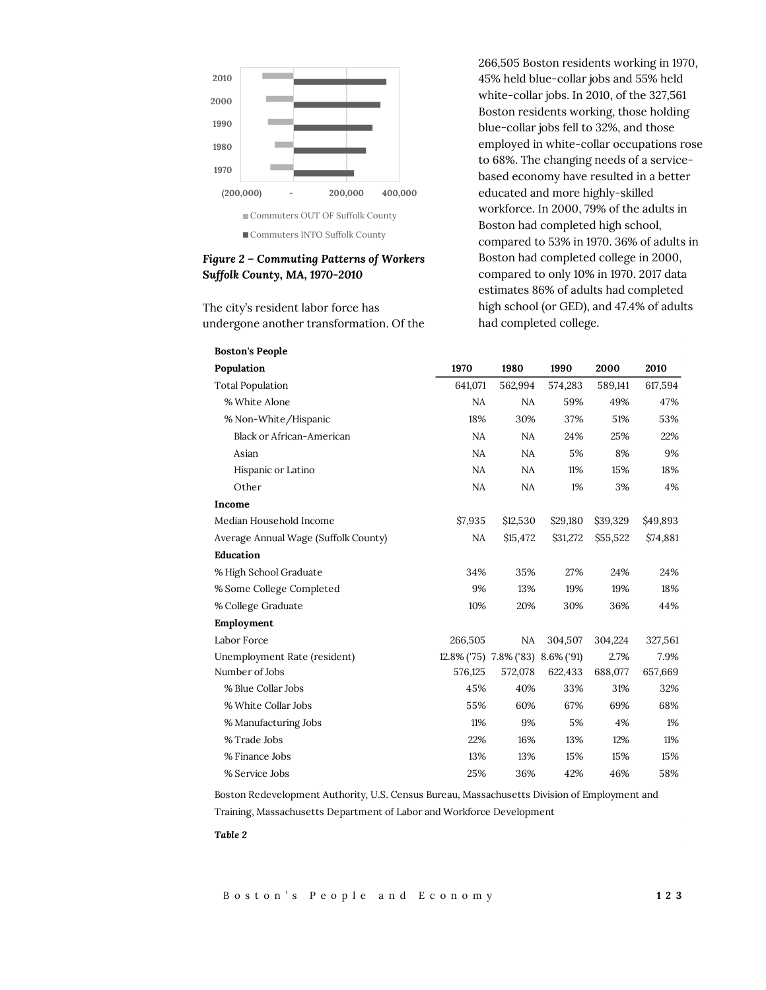

## *Figure 2 – Commuting Patterns of Workers Suffolk County, MA, 1970-2010*

The city's resident labor force has undergone another transformation. Of the 266,505 Boston residents working in 1970, 45% held blue-collar jobs and 55% held white-collar jobs. In 2010, of the 327,561 Boston residents working, those holding blue-collar jobs fell to 32%, and those employed in white-collar occupations rose to 68%. The changing needs of a servicebased economy have resulted in a better educated and more highly-skilled workforce. In 2000, 79% of the adults in Boston had completed high school, compared to 53% in 1970. 36% of adults in Boston had completed college in 2000, compared to only 10% in 1970. 2017 data estimates 86% of adults had completed high school (or GED), and 47.4% of adults had completed college.

| <b>Boston's People</b>               |         |                                   |          |          |          |
|--------------------------------------|---------|-----------------------------------|----------|----------|----------|
| Population                           | 1970    | 1980                              | 1990     | 2000     | 2010     |
| <b>Total Population</b>              | 641,071 | 562,994                           | 574,283  | 589,141  | 617,594  |
| % White Alone                        | NA      | NA                                | 59%      | 49%      | 47%      |
| % Non-White/Hispanic                 | 18%     | 30%                               | 37%      | 51%      | 53%      |
| <b>Black or African-American</b>     | NA      | NA                                | 24%      | 25%      | 22%      |
| Asian                                | NA      | <b>NA</b>                         | 5%       | 8%       | 9%       |
| Hispanic or Latino                   | NA      | NA                                | 11%      | 15%      | 18%      |
| Other                                | NA      | <b>NA</b>                         | 1%       | 3%       | 4%       |
| Income                               |         |                                   |          |          |          |
| Median Household Income              | \$7,935 | \$12,530                          | \$29,180 | \$39,329 | \$49,893 |
| Average Annual Wage (Suffolk County) | NA      | \$15,472                          | \$31,272 | \$55,522 | \$74,881 |
| Education                            |         |                                   |          |          |          |
| % High School Graduate               | 34%     | 35%                               | 27%      | 24%      | 24%      |
| % Some College Completed             | 9%      | 13%                               | 19%      | 19%      | 18%      |
| % College Graduate                   | 10%     | 20%                               | 30%      | 36%      | 44%      |
| Employment                           |         |                                   |          |          |          |
| Labor Force                          | 266,505 | NA                                | 304,507  | 304,224  | 327,561  |
| Unemployment Rate (resident)         |         | 12.8% ('75) 7.8% ('83) 8.6% ('91) |          | 2.7%     | 7.9%     |
| Number of Jobs                       | 576,125 | 572,078                           | 622,433  | 688,077  | 657,669  |
| % Blue Collar Jobs                   | 45%     | 40%                               | 33%      | 31%      | 32%      |
| % White Collar Jobs                  | 55%     | 60%                               | 67%      | 69%      | 68%      |
| % Manufacturing Jobs                 | 11%     | 9%                                | 5%       | 4%       | 1%       |
| % Trade Jobs                         | 22%     | 16%                               | 13%      | 12%      | 11%      |
| % Finance Jobs                       | 13%     | 13%                               | 15%      | 15%      | 15%      |
| % Service Jobs                       | 25%     | 36%                               | 42%      | 46%      | 58%      |

Boston Redevelopment Authority, U.S. Census Bureau, Massachusetts Division of Employment and

Training, Massachusetts Department of Labor and Workforce Development

#### *Table 2*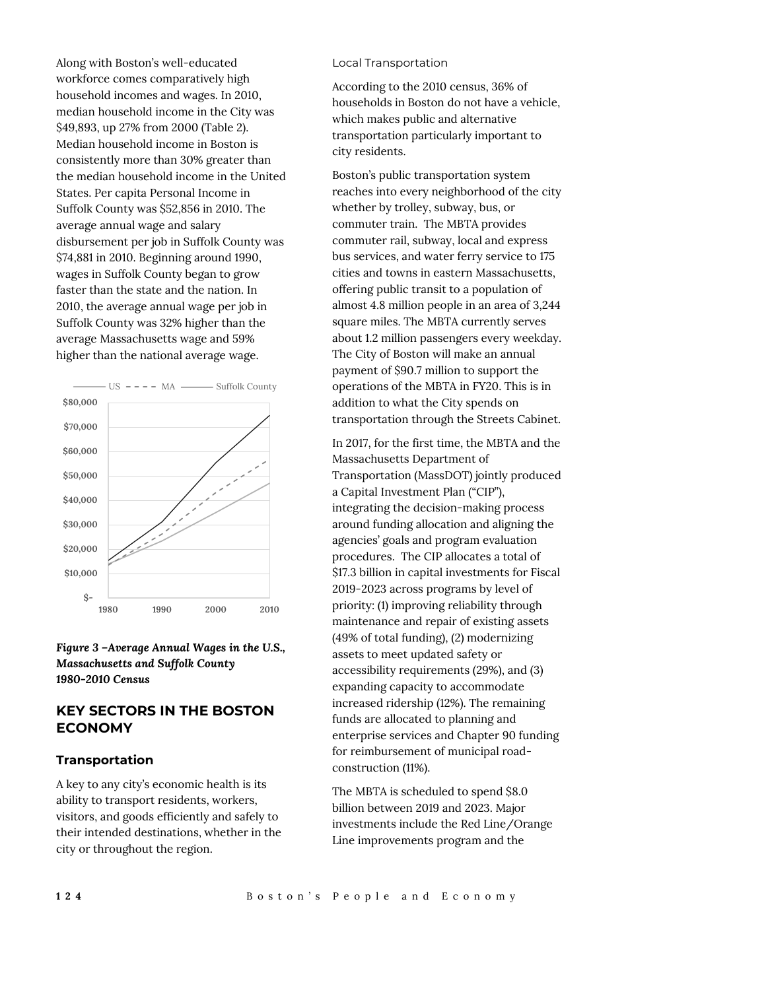Along with Boston's well-educated workforce comes comparatively high household incomes and wages. In 2010, median household income in the City was \$49,893, up 27% from 2000 (Table 2). Median household income in Boston is consistently more than 30% greater than the median household income in the United States. Per capita Personal Income in Suffolk County was \$52,856 in 2010. The average annual wage and salary disbursement per job in Suffolk County was \$74,881 in 2010. Beginning around 1990, wages in Suffolk County began to grow faster than the state and the nation. In 2010, the average annual wage per job in Suffolk County was 32% higher than the average Massachusetts wage and 59% higher than the national average wage.



*Figure 3 –Average Annual Wages in the U.S., Massachusetts and Suffolk County 1980-2010 Census*

# **KEY SECTORS IN THE BOSTON ECONOMY**

## **Transportation**

A key to any city's economic health is its ability to transport residents, workers, visitors, and goods efficiently and safely to their intended destinations, whether in the city or throughout the region.

#### Local Transportation

According to the 2010 census, 36% of households in Boston do not have a vehicle, which makes public and alternative transportation particularly important to city residents.

Boston's public transportation system reaches into every neighborhood of the city whether by trolley, subway, bus, or commuter train. The MBTA provides commuter rail, subway, local and express bus services, and water ferry service to 175 cities and towns in eastern Massachusetts, offering public transit to a population of almost 4.8 million people in an area of 3,244 square miles. The MBTA currently serves about 1.2 million passengers every weekday. The City of Boston will make an annual payment of \$90.7 million to support the operations of the MBTA in FY20. This is in addition to what the City spends on transportation through the Streets Cabinet.

In 2017, for the first time, the MBTA and the Massachusetts Department of Transportation (MassDOT) jointly produced a Capital Investment Plan ("CIP"), integrating the decision-making process around funding allocation and aligning the agencies' goals and program evaluation procedures. The CIP allocates a total of \$17.3 billion in capital investments for Fiscal 2019-2023 across programs by level of priority: (1) improving reliability through maintenance and repair of existing assets (49% of total funding), (2) modernizing assets to meet updated safety or accessibility requirements (29%), and (3) expanding capacity to accommodate increased ridership (12%). The remaining funds are allocated to planning and enterprise services and Chapter 90 funding for reimbursement of municipal roadconstruction (11%).

The MBTA is scheduled to spend \$8.0 billion between 2019 and 2023. Major investments include the Red Line/Orange Line improvements program and the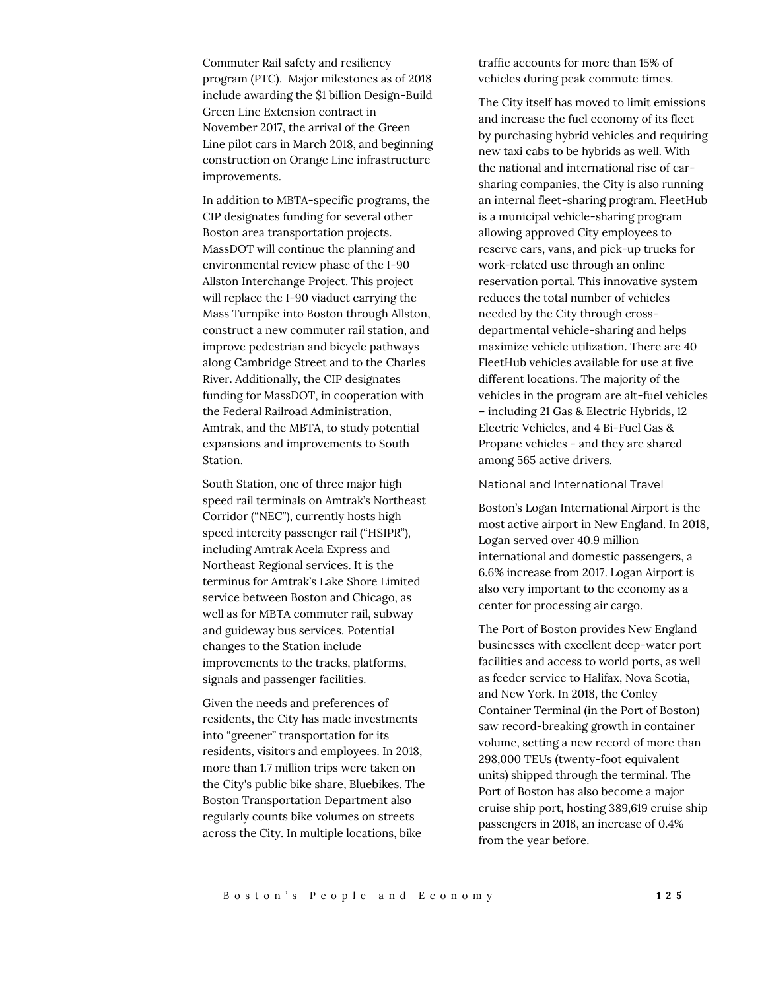Commuter Rail safety and resiliency program (PTC). Major milestones as of 2018 include awarding the \$1 billion Design-Build Green Line Extension contract in November 2017, the arrival of the Green Line pilot cars in March 2018, and beginning construction on Orange Line infrastructure improvements.

In addition to MBTA-specific programs, the CIP designates funding for several other Boston area transportation projects. MassDOT will continue the planning and environmental review phase of the I-90 Allston Interchange Project. This project will replace the I-90 viaduct carrying the Mass Turnpike into Boston through Allston, construct a new commuter rail station, and improve pedestrian and bicycle pathways along Cambridge Street and to the Charles River. Additionally, the CIP designates funding for MassDOT, in cooperation with the Federal Railroad Administration, Amtrak, and the MBTA, to study potential expansions and improvements to South Station.

South Station, one of three major high speed rail terminals on Amtrak's Northeast Corridor ("NEC"), currently hosts high speed intercity passenger rail ("HSIPR"), including Amtrak Acela Express and Northeast Regional services. It is the terminus for Amtrak's Lake Shore Limited service between Boston and Chicago, as well as for MBTA commuter rail, subway and guideway bus services. Potential changes to the Station include improvements to the tracks, platforms, signals and passenger facilities.

Given the needs and preferences of residents, the City has made investments into "greener" transportation for its residents, visitors and employees. In 2018, more than 1.7 million trips were taken on the City's public bike share, Bluebikes. The Boston Transportation Department also regularly counts bike volumes on streets across the City. In multiple locations, bike

traffic accounts for more than 15% of vehicles during peak commute times.

The City itself has moved to limit emissions and increase the fuel economy of its fleet by purchasing hybrid vehicles and requiring new taxi cabs to be hybrids as well. With the national and international rise of carsharing companies, the City is also running an internal fleet-sharing program. FleetHub is a municipal vehicle-sharing program allowing approved City employees to reserve cars, vans, and pick-up trucks for work-related use through an online reservation portal. This innovative system reduces the total number of vehicles needed by the City through crossdepartmental vehicle-sharing and helps maximize vehicle utilization. There are 40 FleetHub vehicles available for use at five different locations. The majority of the vehicles in the program are alt-fuel vehicles – including 21 Gas & Electric Hybrids, 12 Electric Vehicles, and 4 Bi-Fuel Gas & Propane vehicles - and they are shared among 565 active drivers.

National and International Travel

Boston's Logan International Airport is the most active airport in New England. In 2018, Logan served over 40.9 million international and domestic passengers, a 6.6% increase from 2017. Logan Airport is also very important to the economy as a center for processing air cargo.

The Port of Boston provides New England businesses with excellent deep-water port facilities and access to world ports, as well as feeder service to Halifax, Nova Scotia, and New York. In 2018, the Conley Container Terminal (in the Port of Boston) saw record-breaking growth in container volume, setting a new record of more than 298,000 TEUs (twenty-foot equivalent units) shipped through the terminal. The Port of Boston has also become a major cruise ship port, hosting 389,619 cruise ship passengers in 2018, an increase of 0.4% from the year before.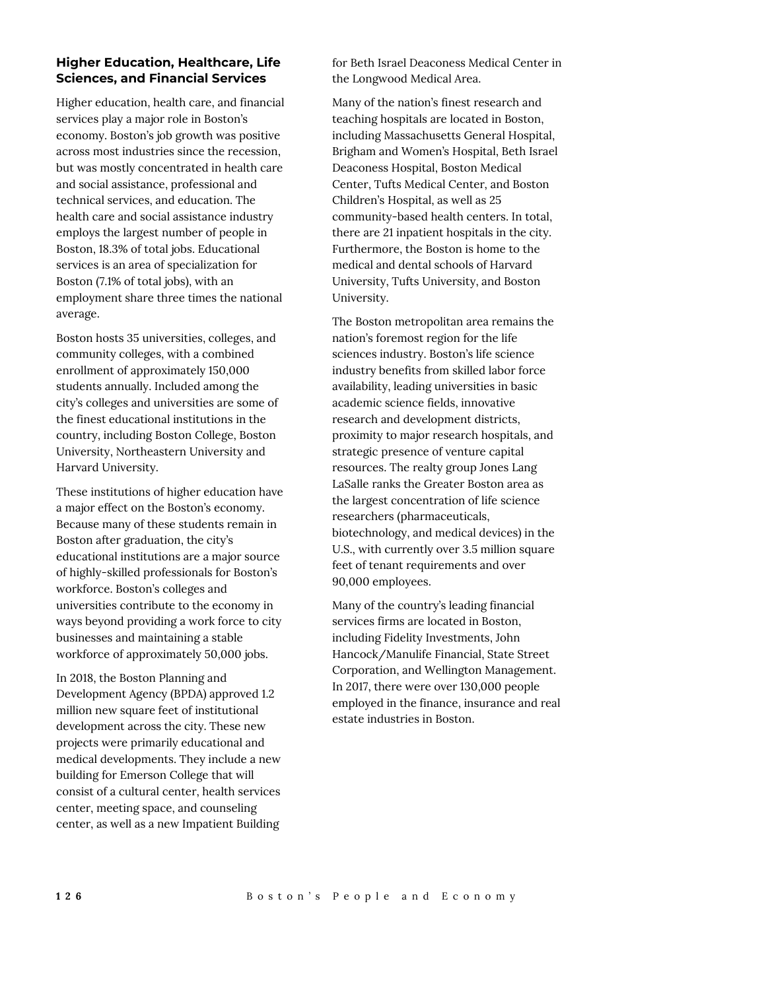## **Higher Education, Healthcare, Life Sciences, and Financial Services**

Higher education, health care, and financial services play a major role in Boston's economy. Boston's job growth was positive across most industries since the recession, but was mostly concentrated in health care and social assistance, professional and technical services, and education. The health care and social assistance industry employs the largest number of people in Boston, 18.3% of total jobs. Educational services is an area of specialization for Boston (7.1% of total jobs), with an employment share three times the national average.

Boston hosts 35 universities, colleges, and community colleges, with a combined enrollment of approximately 150,000 students annually. Included among the city's colleges and universities are some of the finest educational institutions in the country, including Boston College, Boston University, Northeastern University and Harvard University.

These institutions of higher education have a major effect on the Boston's economy. Because many of these students remain in Boston after graduation, the city's educational institutions are a major source of highly-skilled professionals for Boston's workforce. Boston's colleges and universities contribute to the economy in ways beyond providing a work force to city businesses and maintaining a stable workforce of approximately 50,000 jobs.

In 2018, the Boston Planning and Development Agency (BPDA) approved 1.2 million new square feet of institutional development across the city. These new projects were primarily educational and medical developments. They include a new building for Emerson College that will consist of a cultural center, health services center, meeting space, and counseling center, as well as a new Impatient Building

for Beth Israel Deaconess Medical Center in the Longwood Medical Area.

Many of the nation's finest research and teaching hospitals are located in Boston, including Massachusetts General Hospital, Brigham and Women's Hospital, Beth Israel Deaconess Hospital, Boston Medical Center, Tufts Medical Center, and Boston Children's Hospital, as well as 25 community-based health centers. In total, there are 21 inpatient hospitals in the city. Furthermore, the Boston is home to the medical and dental schools of Harvard University, Tufts University, and Boston University.

The Boston metropolitan area remains the nation's foremost region for the life sciences industry. Boston's life science industry benefits from skilled labor force availability, leading universities in basic academic science fields, innovative research and development districts, proximity to major research hospitals, and strategic presence of venture capital resources. The realty group Jones Lang LaSalle ranks the Greater Boston area as the largest concentration of life science researchers (pharmaceuticals, biotechnology, and medical devices) in the U.S., with currently over 3.5 million square feet of tenant requirements and over 90,000 employees.

Many of the country's leading financial services firms are located in Boston, including Fidelity Investments, John Hancock/Manulife Financial, State Street Corporation, and Wellington Management. In 2017, there were over 130,000 people employed in the finance, insurance and real estate industries in Boston.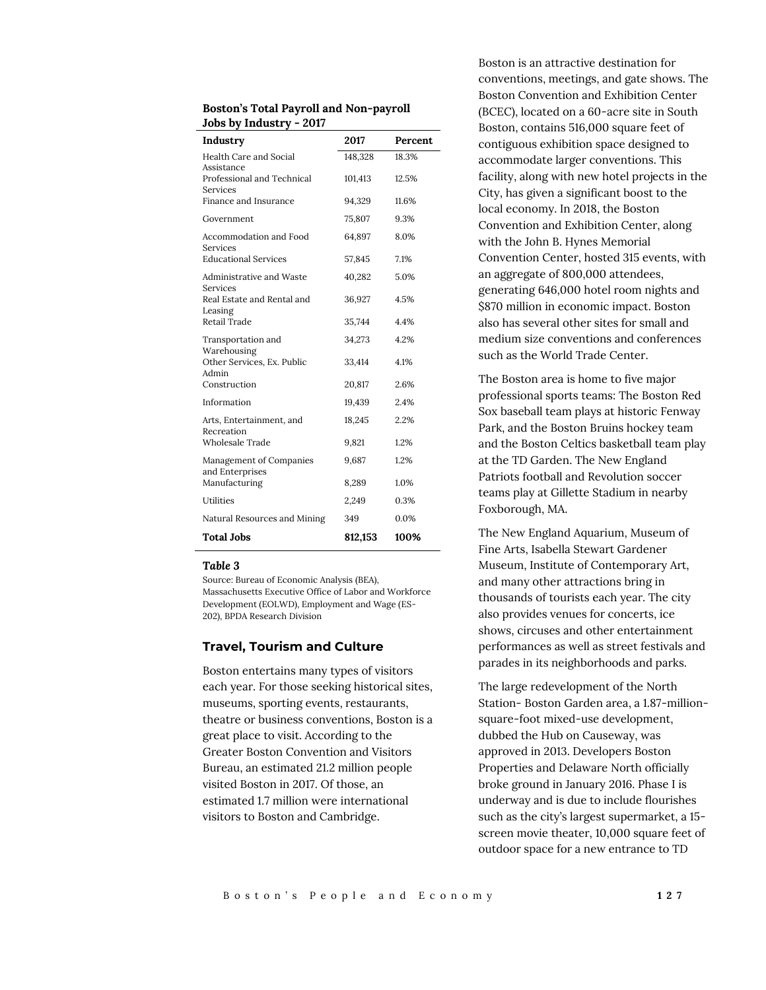| <b>Boston's Total Payroll and Non-payroll</b> |  |
|-----------------------------------------------|--|
| Jobs by Industry - 2017                       |  |

| Industry                                                    | 2017    | Percent |
|-------------------------------------------------------------|---------|---------|
| Health Care and Social                                      | 148,328 | 18.3%   |
| Assistance<br>Professional and Technical<br><b>Services</b> | 101,413 | 12.5%   |
| Finance and Insurance                                       | 94,329  | 11.6%   |
| Government                                                  | 75,807  | 9.3%    |
| Accommodation and Food<br>Services                          | 64,897  | 8.0%    |
| <b>Educational Services</b>                                 | 57,845  | 7.1%    |
| Administrative and Waste<br><b>Services</b>                 | 40,282  | 5.0%    |
| Real Estate and Rental and<br>Leasing                       | 36,927  | 4.5%    |
| Retail Trade                                                | 35,744  | 4.4%    |
| Transportation and<br>Warehousing                           | 34,273  | 4.2%    |
| Other Services, Ex. Public<br>Admin                         | 33,414  | 4.1%    |
| Construction                                                | 20,817  | 2.6%    |
| Information                                                 | 19,439  | 2.4%    |
| Arts, Entertainment, and<br>Recreation                      | 18,245  | 2.2%    |
| Wholesale Trade                                             | 9,821   | 1.2%    |
| Management of Companies<br>and Enterprises                  | 9,687   | 1.2%    |
| Manufacturing                                               | 8,289   | 1.0%    |
| Utilities                                                   | 2,249   | 0.3%    |
| Natural Resources and Mining                                | 349     | 0.0%    |
| <b>Total Jobs</b>                                           | 812.153 | 100%    |

#### *Table 3*

Source: Bureau of Economic Analysis (BEA), Massachusetts Executive Office of Labor and Workforce Development (EOLWD), Employment and Wage (ES-202), BPDA Research Division

#### **Travel, Tourism and Culture**

Boston entertains many types of visitors each year. For those seeking historical sites, museums, sporting events, restaurants, theatre or business conventions, Boston is a great place to visit. According to the Greater Boston Convention and Visitors Bureau, an estimated 21.2 million people visited Boston in 2017. Of those, an estimated 1.7 million were international visitors to Boston and Cambridge.

Boston is an attractive destination for conventions, meetings, and gate shows. The Boston Convention and Exhibition Center (BCEC), located on a 60-acre site in South Boston, contains 516,000 square feet of contiguous exhibition space designed to accommodate larger conventions. This facility, along with new hotel projects in the City, has given a significant boost to the local economy. In 2018, the Boston Convention and Exhibition Center, along with the John B. Hynes Memorial Convention Center, hosted 315 events, with an aggregate of 800,000 attendees, generating 646,000 hotel room nights and \$870 million in economic impact. Boston also has several other sites for small and medium size conventions and conferences such as the World Trade Center.

The Boston area is home to five major professional sports teams: The Boston Red Sox baseball team plays at historic Fenway Park, and the Boston Bruins hockey team and the Boston Celtics basketball team play at the TD Garden. The New England Patriots football and Revolution soccer teams play at Gillette Stadium in nearby Foxborough, MA.

The New England Aquarium, Museum of Fine Arts, Isabella Stewart Gardener Museum, Institute of Contemporary Art, and many other attractions bring in thousands of tourists each year. The city also provides venues for concerts, ice shows, circuses and other entertainment performances as well as street festivals and parades in its neighborhoods and parks.

The large redevelopment of the North Station- Boston Garden area, a 1.87-millionsquare-foot mixed-use development, dubbed the Hub on Causeway, was approved in 2013. Developers Boston Properties and Delaware North officially broke ground in January 2016. Phase I is underway and is due to include flourishes such as the city's largest supermarket, a 15 screen movie theater, 10,000 square feet of outdoor space for a new entrance to TD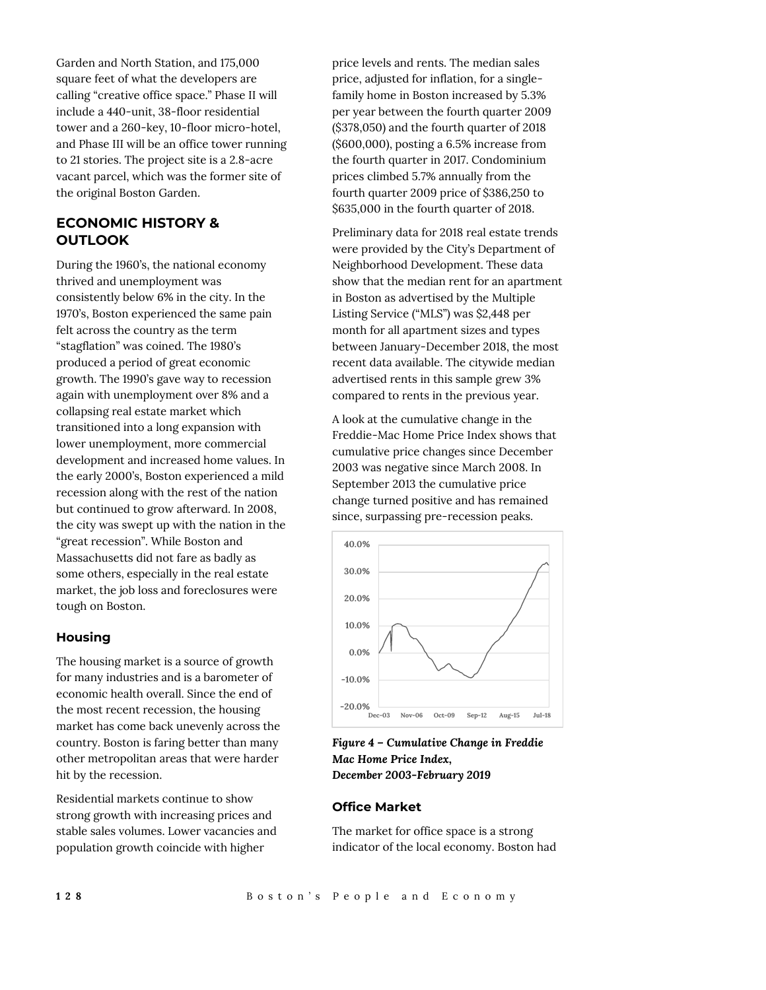Garden and North Station, and 175,000 square feet of what the developers are calling "creative office space." Phase II will include a 440-unit, 38-floor residential tower and a 260-key, 10-floor micro-hotel, and Phase III will be an office tower running to 21 stories. The project site is a 2.8-acre vacant parcel, which was the former site of the original Boston Garden.

# **ECONOMIC HISTORY & OUTLOOK**

During the 1960's, the national economy thrived and unemployment was consistently below 6% in the city. In the 1970's, Boston experienced the same pain felt across the country as the term "stagflation" was coined. The 1980's produced a period of great economic growth. The 1990's gave way to recession again with unemployment over 8% and a collapsing real estate market which transitioned into a long expansion with lower unemployment, more commercial development and increased home values. In the early 2000's, Boston experienced a mild recession along with the rest of the nation but continued to grow afterward. In 2008, the city was swept up with the nation in the "great recession". While Boston and Massachusetts did not fare as badly as some others, especially in the real estate market, the job loss and foreclosures were tough on Boston.

## **Housing**

The housing market is a source of growth for many industries and is a barometer of economic health overall. Since the end of the most recent recession, the housing market has come back unevenly across the country. Boston is faring better than many other metropolitan areas that were harder hit by the recession.

Residential markets continue to show strong growth with increasing prices and stable sales volumes. Lower vacancies and population growth coincide with higher

price levels and rents. The median sales price, adjusted for inflation, for a singlefamily home in Boston increased by 5.3% per year between the fourth quarter 2009 (\$378,050) and the fourth quarter of 2018 (\$600,000), posting a 6.5% increase from the fourth quarter in 2017. Condominium prices climbed 5.7% annually from the fourth quarter 2009 price of \$386,250 to \$635,000 in the fourth quarter of 2018.

Preliminary data for 2018 real estate trends were provided by the City's Department of Neighborhood Development. These data show that the median rent for an apartment in Boston as advertised by the Multiple Listing Service ("MLS") was \$2,448 per month for all apartment sizes and types between January-December 2018, the most recent data available. The citywide median advertised rents in this sample grew 3% compared to rents in the previous year.

A look at the cumulative change in the Freddie-Mac Home Price Index shows that cumulative price changes since December 2003 was negative since March 2008. In September 2013 the cumulative price change turned positive and has remained since, surpassing pre-recession peaks.



*Figure 4 – Cumulative Change in Freddie Mac Home Price Index, December 2003-February 2019*

## **Office Market**

The market for office space is a strong indicator of the local economy. Boston had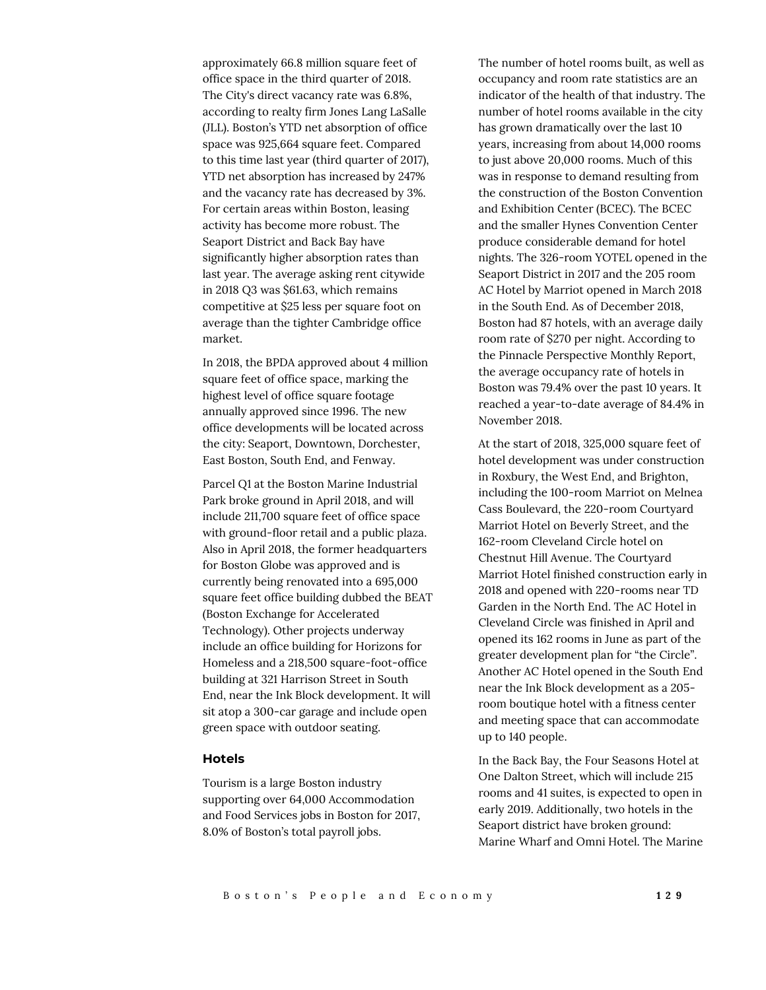approximately 66.8 million square feet of office space in the third quarter of 2018. The City's direct vacancy rate was 6.8%, according to realty firm Jones Lang LaSalle (JLL). Boston's YTD net absorption of office space was 925,664 square feet. Compared to this time last year (third quarter of 2017), YTD net absorption has increased by 247% and the vacancy rate has decreased by 3%. For certain areas within Boston, leasing activity has become more robust. The Seaport District and Back Bay have significantly higher absorption rates than last year. The average asking rent citywide in 2018 Q3 was \$61.63, which remains competitive at \$25 less per square foot on average than the tighter Cambridge office market.

In 2018, the BPDA approved about 4 million square feet of office space, marking the highest level of office square footage annually approved since 1996. The new office developments will be located across the city: Seaport, Downtown, Dorchester, East Boston, South End, and Fenway.

Parcel Q1 at the Boston Marine Industrial Park broke ground in April 2018, and will include 211,700 square feet of office space with ground-floor retail and a public plaza. Also in April 2018, the former headquarters for Boston Globe was approved and is currently being renovated into a 695,000 square feet office building dubbed the BEAT (Boston Exchange for Accelerated Technology). Other projects underway include an office building for Horizons for Homeless and a 218,500 square-foot-office building at 321 Harrison Street in South End, near the Ink Block development. It will sit atop a 300-car garage and include open green space with outdoor seating.

#### **Hotels**

Tourism is a large Boston industry supporting over 64,000 Accommodation and Food Services jobs in Boston for 2017, 8.0% of Boston's total payroll jobs.

The number of hotel rooms built, as well as occupancy and room rate statistics are an indicator of the health of that industry. The number of hotel rooms available in the city has grown dramatically over the last 10 years, increasing from about 14,000 rooms to just above 20,000 rooms. Much of this was in response to demand resulting from the construction of the Boston Convention and Exhibition Center (BCEC). The BCEC and the smaller Hynes Convention Center produce considerable demand for hotel nights. The 326-room YOTEL opened in the Seaport District in 2017 and the 205 room AC Hotel by Marriot opened in March 2018 in the South End. As of December 2018, Boston had 87 hotels, with an average daily room rate of \$270 per night. According to the Pinnacle Perspective Monthly Report, the average occupancy rate of hotels in Boston was 79.4% over the past 10 years. It reached a year-to-date average of 84.4% in November 2018.

At the start of 2018, 325,000 square feet of hotel development was under construction in Roxbury, the West End, and Brighton, including the 100-room Marriot on Melnea Cass Boulevard, the 220-room Courtyard Marriot Hotel on Beverly Street, and the 162-room Cleveland Circle hotel on Chestnut Hill Avenue. The Courtyard Marriot Hotel finished construction early in 2018 and opened with 220-rooms near TD Garden in the North End. The AC Hotel in Cleveland Circle was finished in April and opened its 162 rooms in June as part of the greater development plan for "the Circle". Another AC Hotel opened in the South End near the Ink Block development as a 205 room boutique hotel with a fitness center and meeting space that can accommodate up to 140 people.

In the Back Bay, the Four Seasons Hotel at One Dalton Street, which will include 215 rooms and 41 suites, is expected to open in early 2019. Additionally, two hotels in the Seaport district have broken ground: Marine Wharf and Omni Hotel. The Marine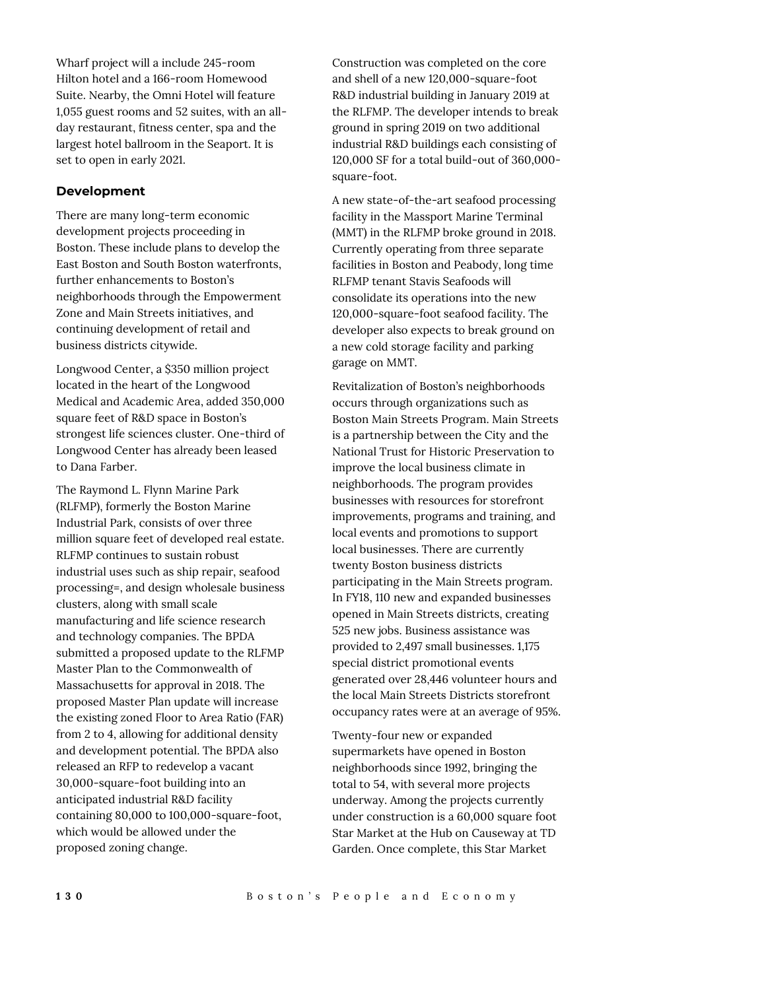Wharf project will a include 245-room Hilton hotel and a 166-room Homewood Suite. Nearby, the Omni Hotel will feature 1,055 guest rooms and 52 suites, with an allday restaurant, fitness center, spa and the largest hotel ballroom in the Seaport. It is set to open in early 2021.

## **Development**

There are many long-term economic development projects proceeding in Boston. These include plans to develop the East Boston and South Boston waterfronts, further enhancements to Boston's neighborhoods through the Empowerment Zone and Main Streets initiatives, and continuing development of retail and business districts citywide.

Longwood Center, a \$350 million project located in the heart of the Longwood Medical and Academic Area, added 350,000 square feet of R&D space in Boston's strongest life sciences cluster. One-third of Longwood Center has already been leased to Dana Farber.

The Raymond L. Flynn Marine Park (RLFMP), formerly the Boston Marine Industrial Park, consists of over three million square feet of developed real estate. RLFMP continues to sustain robust industrial uses such as ship repair, seafood processing=, and design wholesale business clusters, along with small scale manufacturing and life science research and technology companies. The BPDA submitted a proposed update to the RLFMP Master Plan to the Commonwealth of Massachusetts for approval in 2018. The proposed Master Plan update will increase the existing zoned Floor to Area Ratio (FAR) from 2 to 4, allowing for additional density and development potential. The BPDA also released an RFP to redevelop a vacant 30,000-square-foot building into an anticipated industrial R&D facility containing 80,000 to 100,000-square-foot, which would be allowed under the proposed zoning change.

Construction was completed on the core and shell of a new 120,000-square-foot R&D industrial building in January 2019 at the RLFMP. The developer intends to break ground in spring 2019 on two additional industrial R&D buildings each consisting of 120,000 SF for a total build-out of 360,000 square-foot.

A new state-of-the-art seafood processing facility in the Massport Marine Terminal (MMT) in the RLFMP broke ground in 2018. Currently operating from three separate facilities in Boston and Peabody, long time RLFMP tenant Stavis Seafoods will consolidate its operations into the new 120,000-square-foot seafood facility. The developer also expects to break ground on a new cold storage facility and parking garage on MMT.

Revitalization of Boston's neighborhoods occurs through organizations such as Boston Main Streets Program. Main Streets is a partnership between the City and the National Trust for Historic Preservation to improve the local business climate in neighborhoods. The program provides businesses with resources for storefront improvements, programs and training, and local events and promotions to support local businesses. There are currently twenty Boston business districts participating in the Main Streets program. In FY18, 110 new and expanded businesses opened in Main Streets districts, creating 525 new jobs. Business assistance was provided to 2,497 small businesses. 1,175 special district promotional events generated over 28,446 volunteer hours and the local Main Streets Districts storefront occupancy rates were at an average of 95%.

Twenty-four new or expanded supermarkets have opened in Boston neighborhoods since 1992, bringing the total to 54, with several more projects underway. Among the projects currently under construction is a 60,000 square foot Star Market at the Hub on Causeway at TD Garden. Once complete, this Star Market